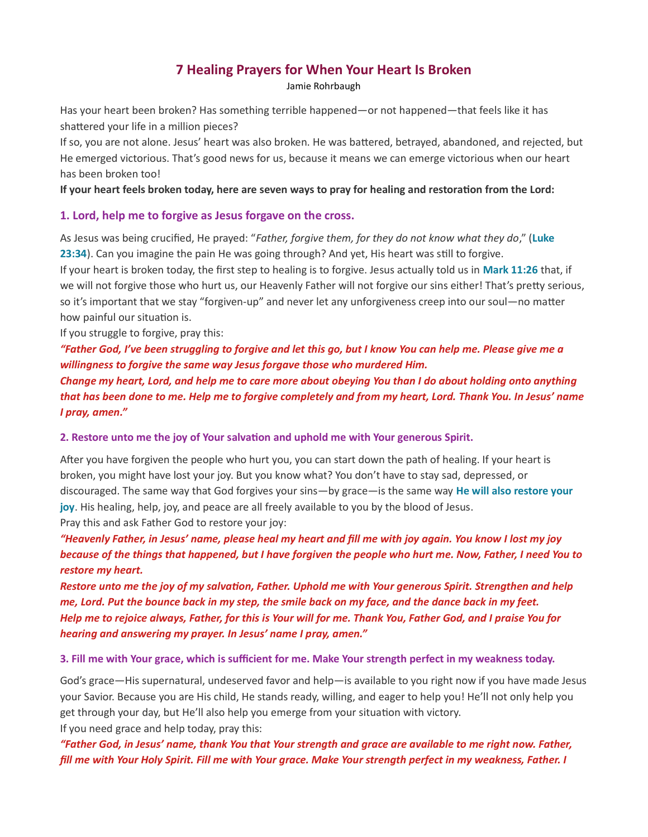# 7 Healing Prayers for When Your Heart Is Broken

Jamie Rohrbaugh

Has your heart been broken? Has something terrible happened—or not happened—that feels like it has shattered your life in a million pieces?

If so, you are not alone. Jesus' heart was also broken. He was battered, betrayed, abandoned, and rejected, but He emerged victorious. That's good news for us, because it means we can emerge victorious when our heart has been broken too!

### If your heart feels broken today, here are seven ways to pray for healing and restoration from the Lord:

### 1. Lord, help me to forgive as Jesus forgave on the cross.

As Jesus was being crucified, He prayed: "Father, forgive them, for they do not know what they do," (Luke 23:34). Can you imagine the pain He was going through? And yet, His heart was still to forgive.

If your heart is broken today, the first step to healing is to forgive. Jesus actually told us in Mark 11:26 that, if we will not forgive those who hurt us, our Heavenly Father will not forgive our sins either! That's pretty serious, so it's important that we stay "forgiven-up" and never let any unforgiveness creep into our soul—no matter how painful our situation is.

If you struggle to forgive, pray this:

"Father God, I've been struggling to forgive and let this go, but I know You can help me. Please give me a willingness to forgive the same way Jesus forgave those who murdered Him.

Change my heart, Lord, and help me to care more about obeying You than I do about holding onto anything that has been done to me. Help me to forgive completely and from my heart, Lord. Thank You. In Jesus' name I pray, amen."

### 2. Restore unto me the joy of Your salvation and uphold me with Your generous Spirit.

After you have forgiven the people who hurt you, you can start down the path of healing. If your heart is broken, you might have lost your joy. But you know what? You don't have to stay sad, depressed, or discouraged. The same way that God forgives your sins—by grace—is the same way He will also restore your joy. His healing, help, joy, and peace are all freely available to you by the blood of Jesus. Pray this and ask Father God to restore your joy:

"Heavenly Father, in Jesus' name, please heal my heart and fill me with joy again. You know I lost my joy because of the things that happened, but I have forgiven the people who hurt me. Now, Father, I need You to restore my heart.

Restore unto me the joy of my salvation, Father. Uphold me with Your generous Spirit. Strengthen and help me, Lord. Put the bounce back in my step, the smile back on my face, and the dance back in my feet. Help me to rejoice always, Father, for this is Your will for me. Thank You, Father God, and I praise You for hearing and answering my prayer. In Jesus' name I pray, amen."

### 3. Fill me with Your grace, which is sufficient for me. Make Your strength perfect in my weakness today.

God's grace—His supernatural, undeserved favor and help—is available to you right now if you have made Jesus your Savior. Because you are His child, He stands ready, willing, and eager to help you! He'll not only help you get through your day, but He'll also help you emerge from your situation with victory. If you need grace and help today, pray this:

"Father God, in Jesus' name, thank You that Your strength and grace are available to me right now. Father, fill me with Your Holy Spirit. Fill me with Your grace. Make Your strength perfect in my weakness, Father. I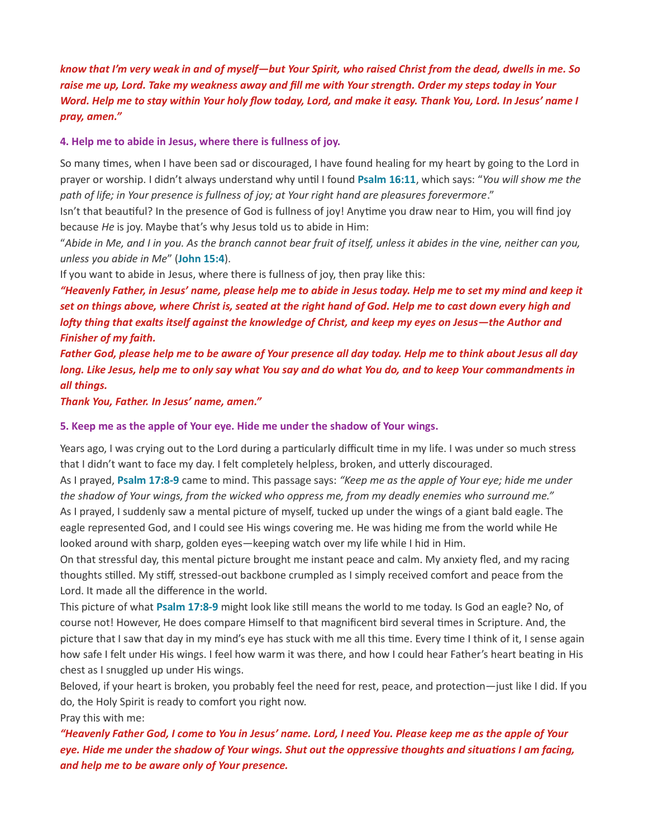know that I'm very weak in and of myself—but Your Spirit, who raised Christ from the dead, dwells in me. So raise me up, Lord. Take my weakness away and fill me with Your strength. Order my steps today in Your Word. Help me to stay within Your holy flow today, Lord, and make it easy. Thank You, Lord. In Jesus' name I pray, amen."

#### 4. Help me to abide in Jesus, where there is fullness of joy.

So many times, when I have been sad or discouraged, I have found healing for my heart by going to the Lord in prayer or worship. I didn't always understand why until I found Psalm 16:11, which says: "You will show me the path of life; in Your presence is fullness of joy; at Your right hand are pleasures forevermore."

Isn't that beautiful? In the presence of God is fullness of joy! Anytime you draw near to Him, you will find joy because He is joy. Maybe that's why Jesus told us to abide in Him:

"Abide in Me, and I in you. As the branch cannot bear fruit of itself, unless it abides in the vine, neither can you, unless you abide in Me" (John 15:4).

If you want to abide in Jesus, where there is fullness of joy, then pray like this:

"Heavenly Father, in Jesus' name, please help me to abide in Jesus today. Help me to set my mind and keep it set on things above, where Christ is, seated at the right hand of God. Help me to cast down every high and lofty thing that exalts itself against the knowledge of Christ, and keep my eyes on Jesus—the Author and Finisher of my faith.

Father God, please help me to be aware of Your presence all day today. Help me to think about Jesus all day long. Like Jesus, help me to only say what You say and do what You do, and to keep Your commandments in all things.

Thank You, Father. In Jesus' name, amen."

#### 5. Keep me as the apple of Your eye. Hide me under the shadow of Your wings.

Years ago, I was crying out to the Lord during a particularly difficult time in my life. I was under so much stress that I didn't want to face my day. I felt completely helpless, broken, and utterly discouraged.

As I prayed, Psalm 17:8-9 came to mind. This passage says: "Keep me as the apple of Your eye; hide me under the shadow of Your wings, from the wicked who oppress me, from my deadly enemies who surround me." As I prayed, I suddenly saw a mental picture of myself, tucked up under the wings of a giant bald eagle. The eagle represented God, and I could see His wings covering me. He was hiding me from the world while He looked around with sharp, golden eyes—keeping watch over my life while I hid in Him.

On that stressful day, this mental picture brought me instant peace and calm. My anxiety fled, and my racing thoughts stilled. My stiff, stressed-out backbone crumpled as I simply received comfort and peace from the Lord. It made all the difference in the world.

This picture of what Psalm 17:8-9 might look like still means the world to me today. Is God an eagle? No, of course not! However, He does compare Himself to that magnificent bird several times in Scripture. And, the picture that I saw that day in my mind's eye has stuck with me all this time. Every time I think of it, I sense again how safe I felt under His wings. I feel how warm it was there, and how I could hear Father's heart beating in His chest as I snuggled up under His wings.

Beloved, if your heart is broken, you probably feel the need for rest, peace, and protection—just like I did. If you do, the Holy Spirit is ready to comfort you right now.

Pray this with me:

"Heavenly Father God, I come to You in Jesus' name. Lord, I need You. Please keep me as the apple of Your eye. Hide me under the shadow of Your wings. Shut out the oppressive thoughts and situations I am facing, and help me to be aware only of Your presence.